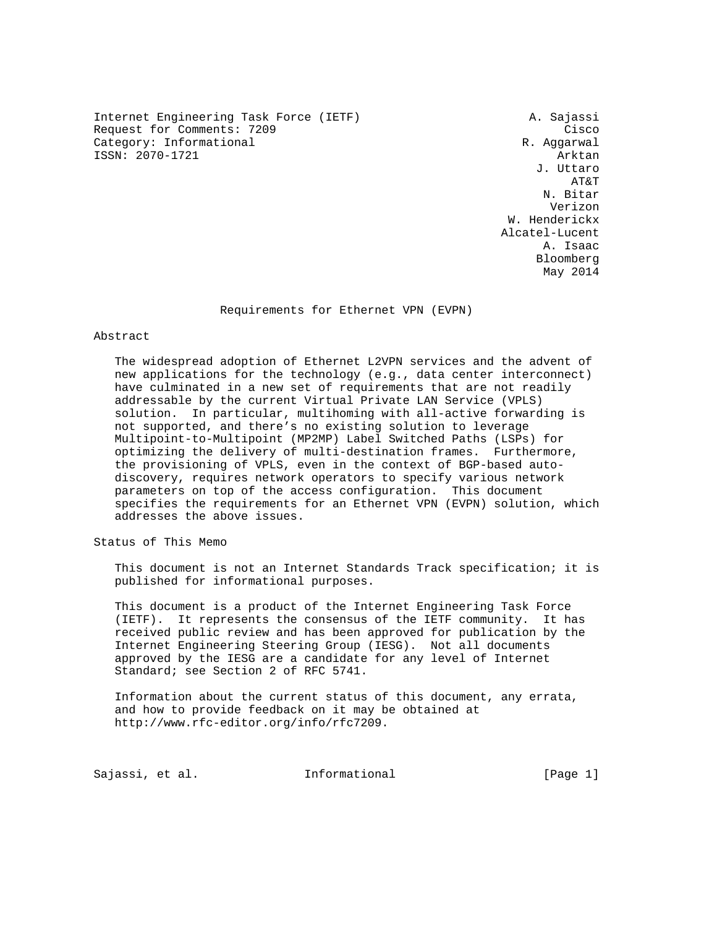Internet Engineering Task Force (IETF) A. Sajassi Request for Comments: 7209 Cisco Category: Informational R. Aggarwal ISSN: 2070-1721 Arktan

 J. Uttaro AT&T N. Bitar Verizon W. Henderickx Alcatel-Lucent<br>A. Isaac A. Isaac Bloomberg May 2014

Requirements for Ethernet VPN (EVPN)

#### Abstract

 The widespread adoption of Ethernet L2VPN services and the advent of new applications for the technology (e.g., data center interconnect) have culminated in a new set of requirements that are not readily addressable by the current Virtual Private LAN Service (VPLS) solution. In particular, multihoming with all-active forwarding is not supported, and there's no existing solution to leverage Multipoint-to-Multipoint (MP2MP) Label Switched Paths (LSPs) for optimizing the delivery of multi-destination frames. Furthermore, the provisioning of VPLS, even in the context of BGP-based auto discovery, requires network operators to specify various network parameters on top of the access configuration. This document specifies the requirements for an Ethernet VPN (EVPN) solution, which addresses the above issues.

Status of This Memo

 This document is not an Internet Standards Track specification; it is published for informational purposes.

 This document is a product of the Internet Engineering Task Force (IETF). It represents the consensus of the IETF community. It has received public review and has been approved for publication by the Internet Engineering Steering Group (IESG). Not all documents approved by the IESG are a candidate for any level of Internet Standard; see Section 2 of RFC 5741.

 Information about the current status of this document, any errata, and how to provide feedback on it may be obtained at http://www.rfc-editor.org/info/rfc7209.

Sajassi, et al. Informational [Page 1]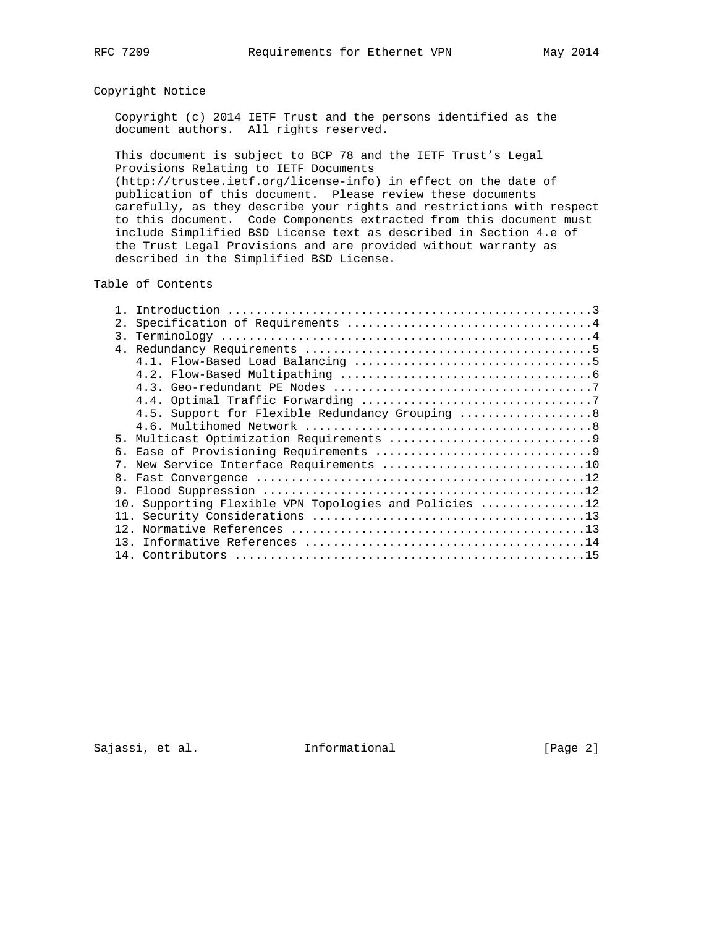# Copyright Notice

 Copyright (c) 2014 IETF Trust and the persons identified as the document authors. All rights reserved.

 This document is subject to BCP 78 and the IETF Trust's Legal Provisions Relating to IETF Documents

 (http://trustee.ietf.org/license-info) in effect on the date of publication of this document. Please review these documents carefully, as they describe your rights and restrictions with respect to this document. Code Components extracted from this document must include Simplified BSD License text as described in Section 4.e of the Trust Legal Provisions and are provided without warranty as described in the Simplified BSD License.

### Table of Contents

| 2.               |                                                        |
|------------------|--------------------------------------------------------|
| $\overline{3}$ . |                                                        |
|                  |                                                        |
|                  |                                                        |
|                  |                                                        |
|                  |                                                        |
|                  |                                                        |
|                  | 4.5. Support for Flexible Redundancy Grouping  8       |
|                  |                                                        |
|                  |                                                        |
| б.               |                                                        |
|                  | New Service Interface Requirements 10                  |
| 8.               |                                                        |
| 9.               |                                                        |
|                  | 10. Supporting Flexible VPN Topologies and Policies 12 |
|                  |                                                        |
|                  |                                                        |
| 13.              |                                                        |
|                  |                                                        |
|                  |                                                        |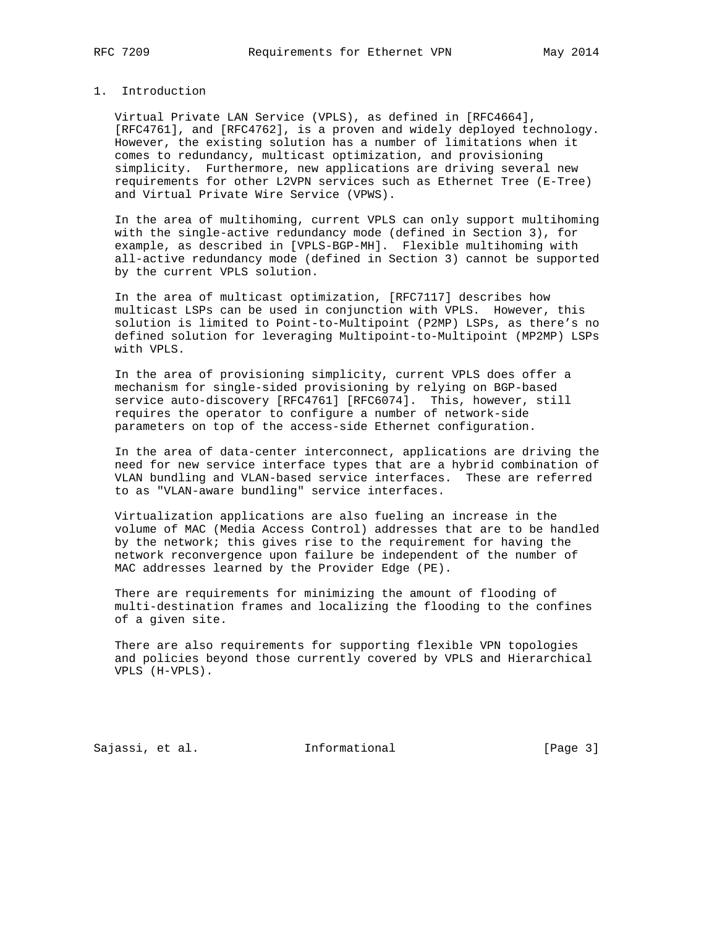## 1. Introduction

 Virtual Private LAN Service (VPLS), as defined in [RFC4664], [RFC4761], and [RFC4762], is a proven and widely deployed technology. However, the existing solution has a number of limitations when it comes to redundancy, multicast optimization, and provisioning simplicity. Furthermore, new applications are driving several new requirements for other L2VPN services such as Ethernet Tree (E-Tree) and Virtual Private Wire Service (VPWS).

 In the area of multihoming, current VPLS can only support multihoming with the single-active redundancy mode (defined in Section 3), for example, as described in [VPLS-BGP-MH]. Flexible multihoming with all-active redundancy mode (defined in Section 3) cannot be supported by the current VPLS solution.

 In the area of multicast optimization, [RFC7117] describes how multicast LSPs can be used in conjunction with VPLS. However, this solution is limited to Point-to-Multipoint (P2MP) LSPs, as there's no defined solution for leveraging Multipoint-to-Multipoint (MP2MP) LSPs with VPLS.

 In the area of provisioning simplicity, current VPLS does offer a mechanism for single-sided provisioning by relying on BGP-based service auto-discovery [RFC4761] [RFC6074]. This, however, still requires the operator to configure a number of network-side parameters on top of the access-side Ethernet configuration.

 In the area of data-center interconnect, applications are driving the need for new service interface types that are a hybrid combination of VLAN bundling and VLAN-based service interfaces. These are referred to as "VLAN-aware bundling" service interfaces.

 Virtualization applications are also fueling an increase in the volume of MAC (Media Access Control) addresses that are to be handled by the network; this gives rise to the requirement for having the network reconvergence upon failure be independent of the number of MAC addresses learned by the Provider Edge (PE).

 There are requirements for minimizing the amount of flooding of multi-destination frames and localizing the flooding to the confines of a given site.

 There are also requirements for supporting flexible VPN topologies and policies beyond those currently covered by VPLS and Hierarchical VPLS (H-VPLS).

Sajassi, et al. 10 Informational 1999 [Page 3]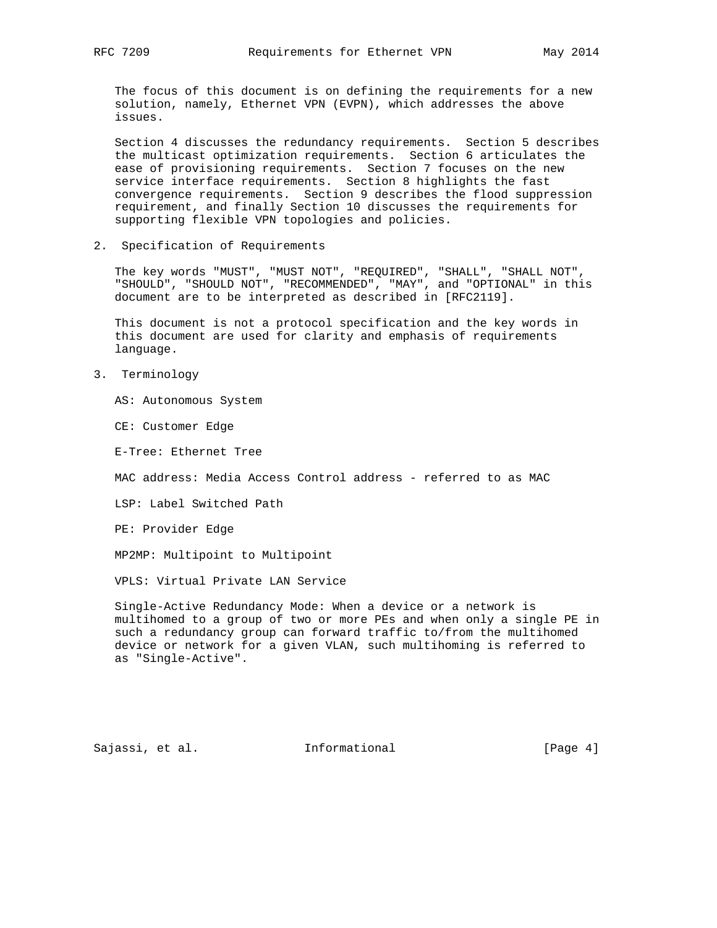The focus of this document is on defining the requirements for a new solution, namely, Ethernet VPN (EVPN), which addresses the above issues.

 Section 4 discusses the redundancy requirements. Section 5 describes the multicast optimization requirements. Section 6 articulates the ease of provisioning requirements. Section 7 focuses on the new service interface requirements. Section 8 highlights the fast convergence requirements. Section 9 describes the flood suppression requirement, and finally Section 10 discusses the requirements for supporting flexible VPN topologies and policies.

2. Specification of Requirements

 The key words "MUST", "MUST NOT", "REQUIRED", "SHALL", "SHALL NOT", "SHOULD", "SHOULD NOT", "RECOMMENDED", "MAY", and "OPTIONAL" in this document are to be interpreted as described in [RFC2119].

 This document is not a protocol specification and the key words in this document are used for clarity and emphasis of requirements language.

3. Terminology

AS: Autonomous System

CE: Customer Edge

E-Tree: Ethernet Tree

MAC address: Media Access Control address - referred to as MAC

LSP: Label Switched Path

PE: Provider Edge

MP2MP: Multipoint to Multipoint

VPLS: Virtual Private LAN Service

 Single-Active Redundancy Mode: When a device or a network is multihomed to a group of two or more PEs and when only a single PE in such a redundancy group can forward traffic to/from the multihomed device or network for a given VLAN, such multihoming is referred to as "Single-Active".

Sajassi, et al. 1nformational 1996 [Page 4]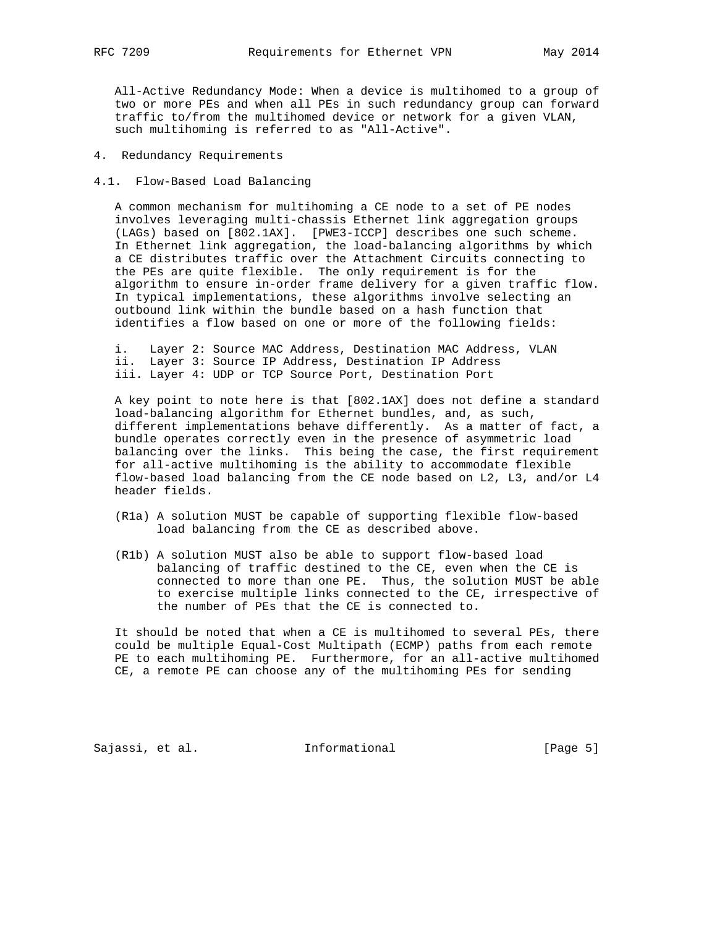All-Active Redundancy Mode: When a device is multihomed to a group of two or more PEs and when all PEs in such redundancy group can forward traffic to/from the multihomed device or network for a given VLAN, such multihoming is referred to as "All-Active".

- 4. Redundancy Requirements
- 4.1. Flow-Based Load Balancing

 A common mechanism for multihoming a CE node to a set of PE nodes involves leveraging multi-chassis Ethernet link aggregation groups (LAGs) based on [802.1AX]. [PWE3-ICCP] describes one such scheme. In Ethernet link aggregation, the load-balancing algorithms by which a CE distributes traffic over the Attachment Circuits connecting to the PEs are quite flexible. The only requirement is for the algorithm to ensure in-order frame delivery for a given traffic flow. In typical implementations, these algorithms involve selecting an outbound link within the bundle based on a hash function that identifies a flow based on one or more of the following fields:

 i. Layer 2: Source MAC Address, Destination MAC Address, VLAN ii. Layer 3: Source IP Address, Destination IP Address iii. Layer 4: UDP or TCP Source Port, Destination Port

 A key point to note here is that [802.1AX] does not define a standard load-balancing algorithm for Ethernet bundles, and, as such, different implementations behave differently. As a matter of fact, a bundle operates correctly even in the presence of asymmetric load balancing over the links. This being the case, the first requirement for all-active multihoming is the ability to accommodate flexible flow-based load balancing from the CE node based on L2, L3, and/or L4 header fields.

- (R1a) A solution MUST be capable of supporting flexible flow-based load balancing from the CE as described above.
- (R1b) A solution MUST also be able to support flow-based load balancing of traffic destined to the CE, even when the CE is connected to more than one PE. Thus, the solution MUST be able to exercise multiple links connected to the CE, irrespective of the number of PEs that the CE is connected to.

 It should be noted that when a CE is multihomed to several PEs, there could be multiple Equal-Cost Multipath (ECMP) paths from each remote PE to each multihoming PE. Furthermore, for an all-active multihomed CE, a remote PE can choose any of the multihoming PEs for sending

Sajassi, et al. 10 mm informational [Page 5]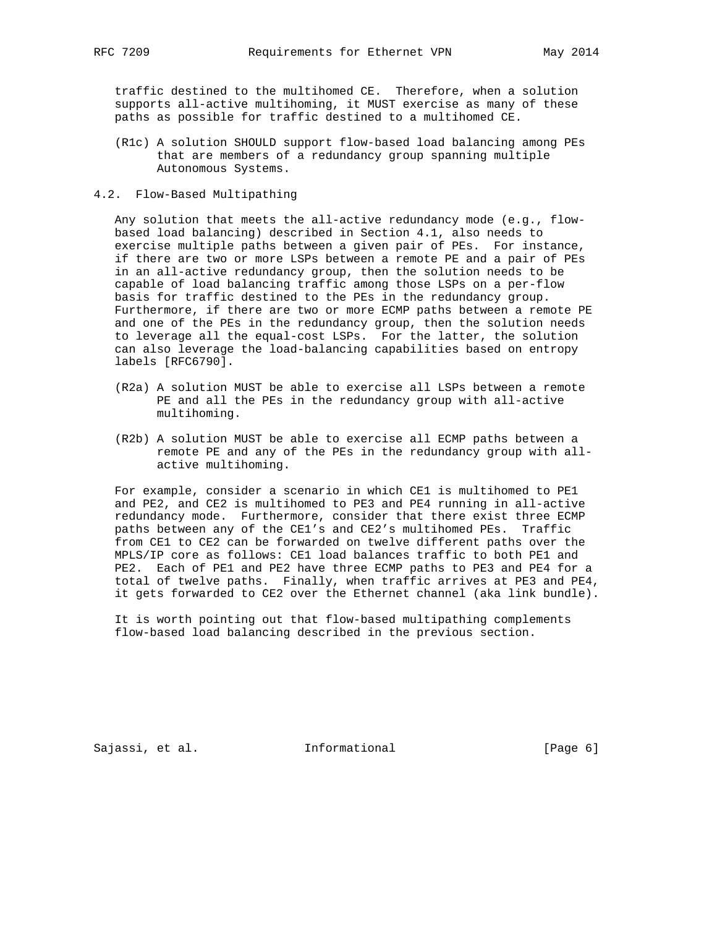traffic destined to the multihomed CE. Therefore, when a solution supports all-active multihoming, it MUST exercise as many of these paths as possible for traffic destined to a multihomed CE.

- (R1c) A solution SHOULD support flow-based load balancing among PEs that are members of a redundancy group spanning multiple Autonomous Systems.
- 4.2. Flow-Based Multipathing

 Any solution that meets the all-active redundancy mode (e.g., flow based load balancing) described in Section 4.1, also needs to exercise multiple paths between a given pair of PEs. For instance, if there are two or more LSPs between a remote PE and a pair of PEs in an all-active redundancy group, then the solution needs to be capable of load balancing traffic among those LSPs on a per-flow basis for traffic destined to the PEs in the redundancy group. Furthermore, if there are two or more ECMP paths between a remote PE and one of the PEs in the redundancy group, then the solution needs to leverage all the equal-cost LSPs. For the latter, the solution can also leverage the load-balancing capabilities based on entropy labels [RFC6790].

- (R2a) A solution MUST be able to exercise all LSPs between a remote PE and all the PEs in the redundancy group with all-active multihoming.
- (R2b) A solution MUST be able to exercise all ECMP paths between a remote PE and any of the PEs in the redundancy group with all active multihoming.

 For example, consider a scenario in which CE1 is multihomed to PE1 and PE2, and CE2 is multihomed to PE3 and PE4 running in all-active redundancy mode. Furthermore, consider that there exist three ECMP paths between any of the CE1's and CE2's multihomed PEs. Traffic from CE1 to CE2 can be forwarded on twelve different paths over the MPLS/IP core as follows: CE1 load balances traffic to both PE1 and PE2. Each of PE1 and PE2 have three ECMP paths to PE3 and PE4 for a total of twelve paths. Finally, when traffic arrives at PE3 and PE4, it gets forwarded to CE2 over the Ethernet channel (aka link bundle).

 It is worth pointing out that flow-based multipathing complements flow-based load balancing described in the previous section.

Sajassi, et al. 1nformational 1999 [Page 6]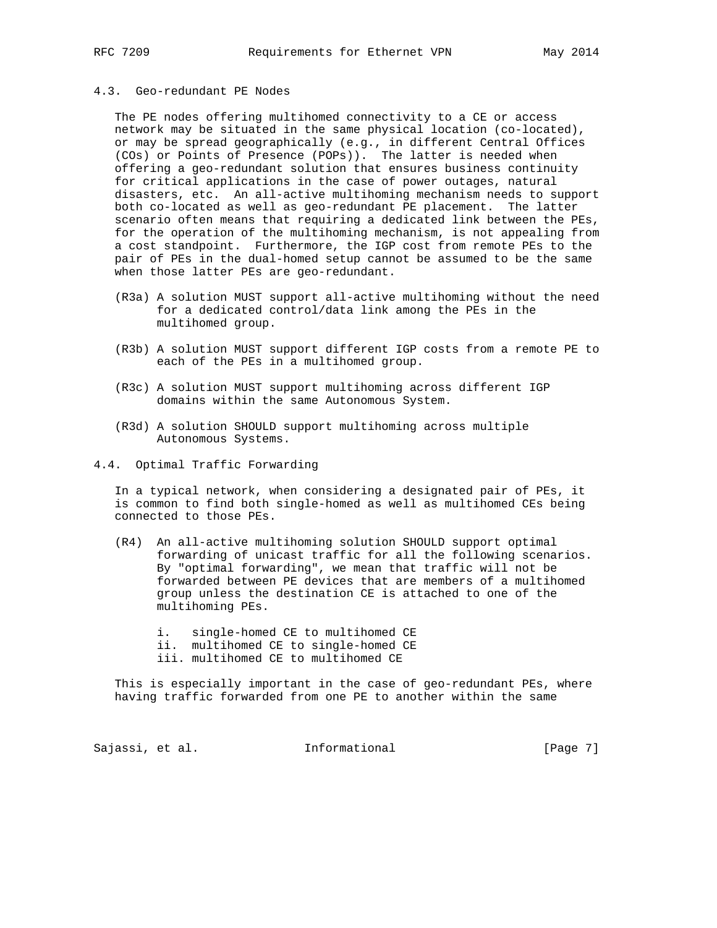## 4.3. Geo-redundant PE Nodes

 The PE nodes offering multihomed connectivity to a CE or access network may be situated in the same physical location (co-located), or may be spread geographically (e.g., in different Central Offices (COs) or Points of Presence (POPs)). The latter is needed when offering a geo-redundant solution that ensures business continuity for critical applications in the case of power outages, natural disasters, etc. An all-active multihoming mechanism needs to support both co-located as well as geo-redundant PE placement. The latter scenario often means that requiring a dedicated link between the PEs, for the operation of the multihoming mechanism, is not appealing from a cost standpoint. Furthermore, the IGP cost from remote PEs to the pair of PEs in the dual-homed setup cannot be assumed to be the same when those latter PEs are geo-redundant.

- (R3a) A solution MUST support all-active multihoming without the need for a dedicated control/data link among the PEs in the multihomed group.
- (R3b) A solution MUST support different IGP costs from a remote PE to each of the PEs in a multihomed group.
- (R3c) A solution MUST support multihoming across different IGP domains within the same Autonomous System.
- (R3d) A solution SHOULD support multihoming across multiple Autonomous Systems.
- 4.4. Optimal Traffic Forwarding

 In a typical network, when considering a designated pair of PEs, it is common to find both single-homed as well as multihomed CEs being connected to those PEs.

- (R4) An all-active multihoming solution SHOULD support optimal forwarding of unicast traffic for all the following scenarios. By "optimal forwarding", we mean that traffic will not be forwarded between PE devices that are members of a multihomed group unless the destination CE is attached to one of the multihoming PEs.
	- i. single-homed CE to multihomed CE
	- ii. multihomed CE to single-homed CE
	- iii. multihomed CE to multihomed CE

 This is especially important in the case of geo-redundant PEs, where having traffic forwarded from one PE to another within the same

Sajassi, et al. 100 mm informational [Page 7]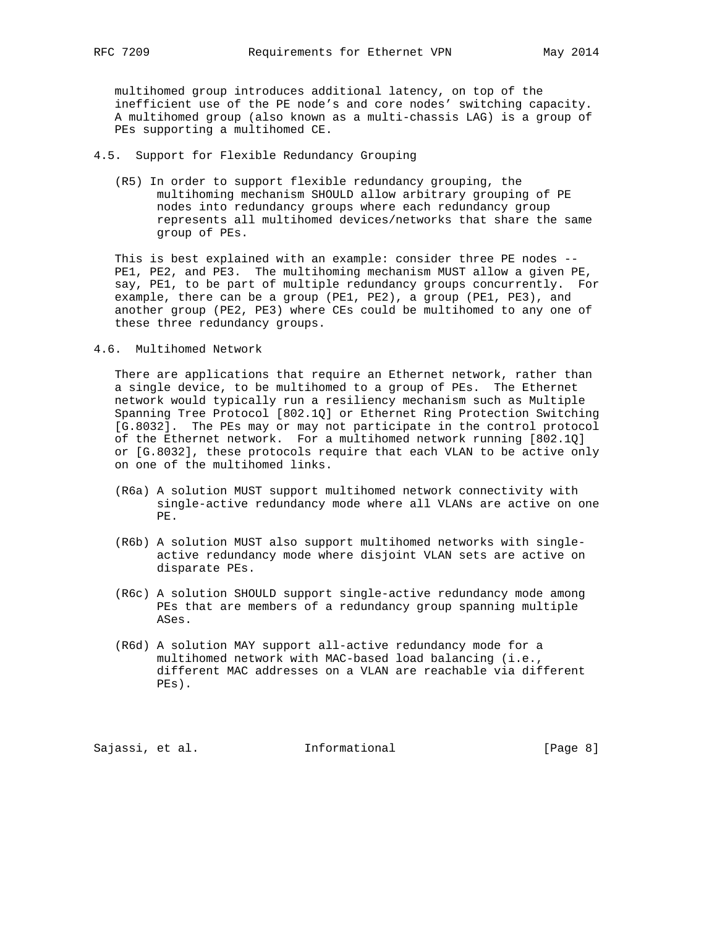multihomed group introduces additional latency, on top of the inefficient use of the PE node's and core nodes' switching capacity. A multihomed group (also known as a multi-chassis LAG) is a group of PEs supporting a multihomed CE.

### 4.5. Support for Flexible Redundancy Grouping

 (R5) In order to support flexible redundancy grouping, the multihoming mechanism SHOULD allow arbitrary grouping of PE nodes into redundancy groups where each redundancy group represents all multihomed devices/networks that share the same group of PEs.

 This is best explained with an example: consider three PE nodes -- PE1, PE2, and PE3. The multihoming mechanism MUST allow a given PE, say, PE1, to be part of multiple redundancy groups concurrently. For example, there can be a group (PE1, PE2), a group (PE1, PE3), and another group (PE2, PE3) where CEs could be multihomed to any one of these three redundancy groups.

### 4.6. Multihomed Network

 There are applications that require an Ethernet network, rather than a single device, to be multihomed to a group of PEs. The Ethernet network would typically run a resiliency mechanism such as Multiple Spanning Tree Protocol [802.1Q] or Ethernet Ring Protection Switching [G.8032]. The PEs may or may not participate in the control protocol of the Ethernet network. For a multihomed network running [802.1Q] or [G.8032], these protocols require that each VLAN to be active only on one of the multihomed links.

- (R6a) A solution MUST support multihomed network connectivity with single-active redundancy mode where all VLANs are active on one PE.
- (R6b) A solution MUST also support multihomed networks with single active redundancy mode where disjoint VLAN sets are active on disparate PEs.
- (R6c) A solution SHOULD support single-active redundancy mode among PEs that are members of a redundancy group spanning multiple ASes.
- (R6d) A solution MAY support all-active redundancy mode for a multihomed network with MAC-based load balancing (i.e., different MAC addresses on a VLAN are reachable via different PEs).

Sajassi, et al. 10 Informational 1999 [Page 8]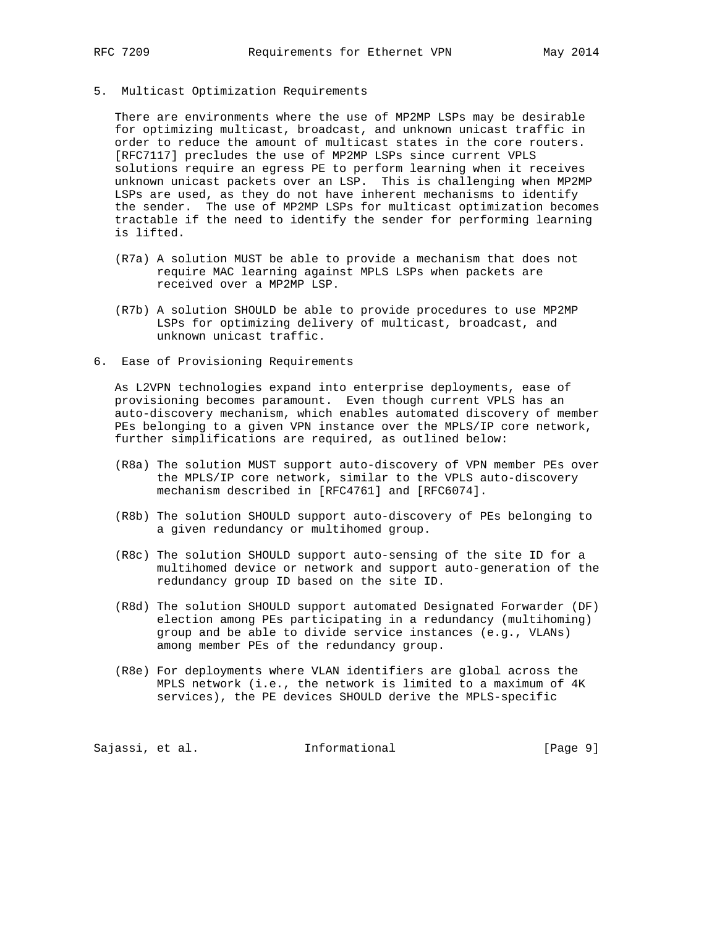- 
- 5. Multicast Optimization Requirements

 There are environments where the use of MP2MP LSPs may be desirable for optimizing multicast, broadcast, and unknown unicast traffic in order to reduce the amount of multicast states in the core routers. [RFC7117] precludes the use of MP2MP LSPs since current VPLS solutions require an egress PE to perform learning when it receives unknown unicast packets over an LSP. This is challenging when MP2MP LSPs are used, as they do not have inherent mechanisms to identify the sender. The use of MP2MP LSPs for multicast optimization becomes tractable if the need to identify the sender for performing learning is lifted.

- (R7a) A solution MUST be able to provide a mechanism that does not require MAC learning against MPLS LSPs when packets are received over a MP2MP LSP.
- (R7b) A solution SHOULD be able to provide procedures to use MP2MP LSPs for optimizing delivery of multicast, broadcast, and unknown unicast traffic.
- 6. Ease of Provisioning Requirements

 As L2VPN technologies expand into enterprise deployments, ease of provisioning becomes paramount. Even though current VPLS has an auto-discovery mechanism, which enables automated discovery of member PEs belonging to a given VPN instance over the MPLS/IP core network, further simplifications are required, as outlined below:

- (R8a) The solution MUST support auto-discovery of VPN member PEs over the MPLS/IP core network, similar to the VPLS auto-discovery mechanism described in [RFC4761] and [RFC6074].
- (R8b) The solution SHOULD support auto-discovery of PEs belonging to a given redundancy or multihomed group.
- (R8c) The solution SHOULD support auto-sensing of the site ID for a multihomed device or network and support auto-generation of the redundancy group ID based on the site ID.
- (R8d) The solution SHOULD support automated Designated Forwarder (DF) election among PEs participating in a redundancy (multihoming) group and be able to divide service instances (e.g., VLANs) among member PEs of the redundancy group.
- (R8e) For deployments where VLAN identifiers are global across the MPLS network (i.e., the network is limited to a maximum of 4K services), the PE devices SHOULD derive the MPLS-specific

Sajassi, et al. 1nformational 1999 [Page 9]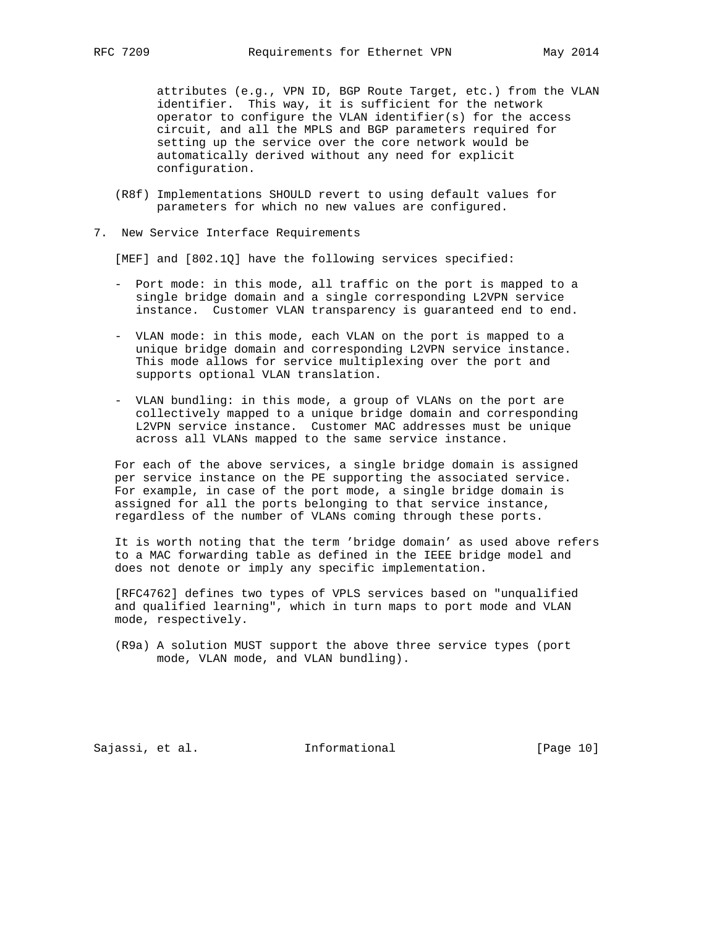attributes (e.g., VPN ID, BGP Route Target, etc.) from the VLAN identifier. This way, it is sufficient for the network operator to configure the VLAN identifier(s) for the access circuit, and all the MPLS and BGP parameters required for setting up the service over the core network would be automatically derived without any need for explicit configuration.

- (R8f) Implementations SHOULD revert to using default values for parameters for which no new values are configured.
- 7. New Service Interface Requirements

[MEF] and [802.1Q] have the following services specified:

- Port mode: in this mode, all traffic on the port is mapped to a single bridge domain and a single corresponding L2VPN service instance. Customer VLAN transparency is guaranteed end to end.
- VLAN mode: in this mode, each VLAN on the port is mapped to a unique bridge domain and corresponding L2VPN service instance. This mode allows for service multiplexing over the port and supports optional VLAN translation.
- VLAN bundling: in this mode, a group of VLANs on the port are collectively mapped to a unique bridge domain and corresponding L2VPN service instance. Customer MAC addresses must be unique across all VLANs mapped to the same service instance.

 For each of the above services, a single bridge domain is assigned per service instance on the PE supporting the associated service. For example, in case of the port mode, a single bridge domain is assigned for all the ports belonging to that service instance, regardless of the number of VLANs coming through these ports.

 It is worth noting that the term 'bridge domain' as used above refers to a MAC forwarding table as defined in the IEEE bridge model and does not denote or imply any specific implementation.

 [RFC4762] defines two types of VPLS services based on "unqualified and qualified learning", which in turn maps to port mode and VLAN mode, respectively.

 (R9a) A solution MUST support the above three service types (port mode, VLAN mode, and VLAN bundling).

Sajassi, et al. 10 mm informational [Page 10]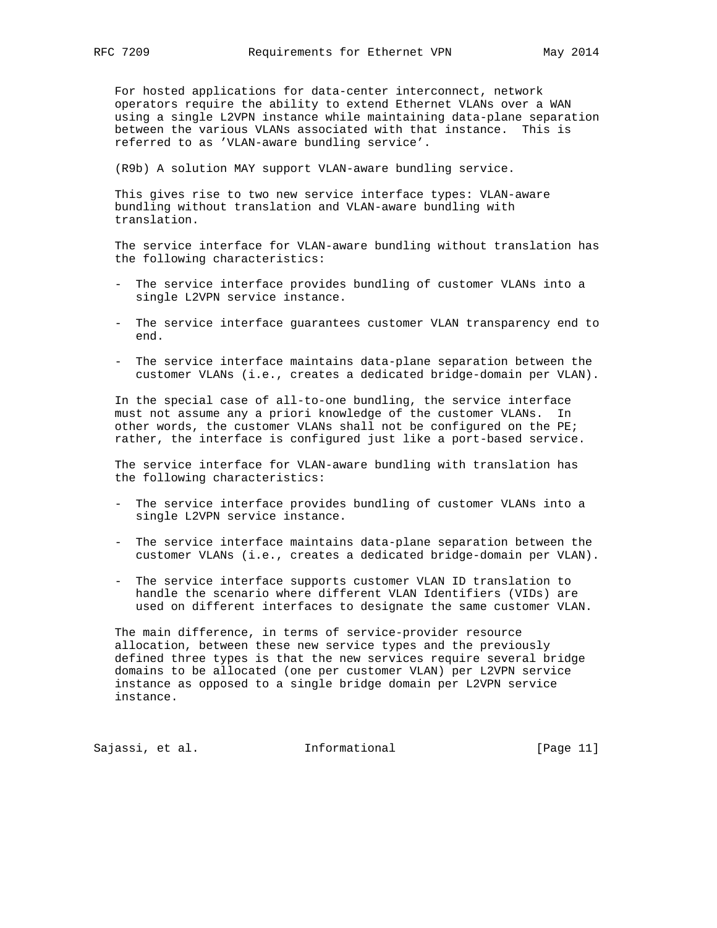For hosted applications for data-center interconnect, network operators require the ability to extend Ethernet VLANs over a WAN using a single L2VPN instance while maintaining data-plane separation between the various VLANs associated with that instance. This is referred to as 'VLAN-aware bundling service'.

(R9b) A solution MAY support VLAN-aware bundling service.

 This gives rise to two new service interface types: VLAN-aware bundling without translation and VLAN-aware bundling with translation.

 The service interface for VLAN-aware bundling without translation has the following characteristics:

- The service interface provides bundling of customer VLANs into a single L2VPN service instance.
- The service interface guarantees customer VLAN transparency end to end.
- The service interface maintains data-plane separation between the customer VLANs (i.e., creates a dedicated bridge-domain per VLAN).

 In the special case of all-to-one bundling, the service interface must not assume any a priori knowledge of the customer VLANs. In other words, the customer VLANs shall not be configured on the PE; rather, the interface is configured just like a port-based service.

 The service interface for VLAN-aware bundling with translation has the following characteristics:

- The service interface provides bundling of customer VLANs into a single L2VPN service instance.
- The service interface maintains data-plane separation between the customer VLANs (i.e., creates a dedicated bridge-domain per VLAN).
- The service interface supports customer VLAN ID translation to handle the scenario where different VLAN Identifiers (VIDs) are used on different interfaces to designate the same customer VLAN.

 The main difference, in terms of service-provider resource allocation, between these new service types and the previously defined three types is that the new services require several bridge domains to be allocated (one per customer VLAN) per L2VPN service instance as opposed to a single bridge domain per L2VPN service instance.

Sajassi, et al. 10. Informational [Page 11]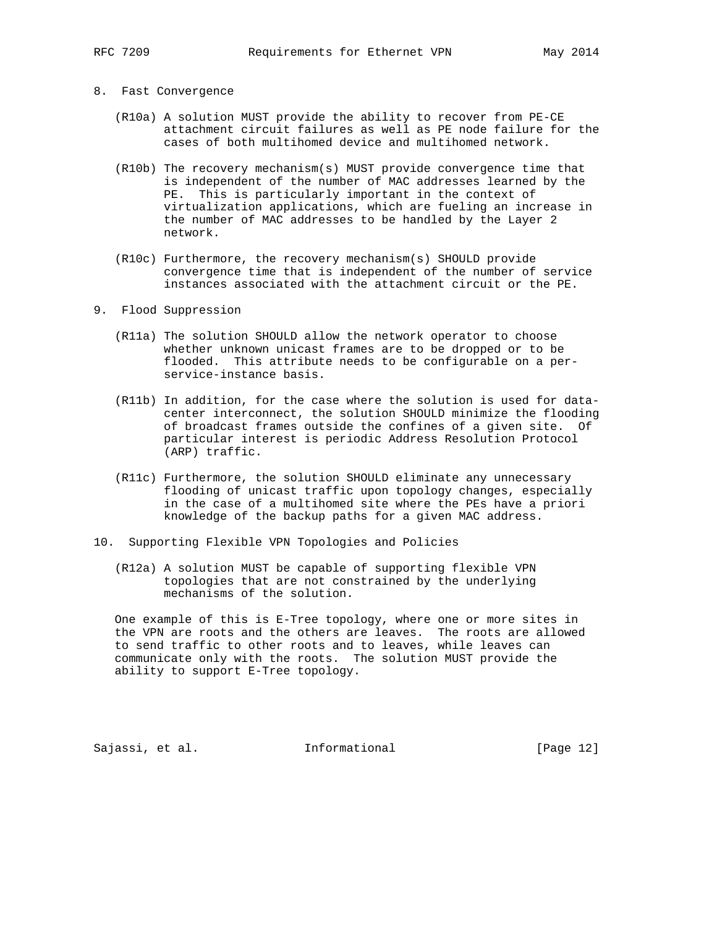### 8. Fast Convergence

- (R10a) A solution MUST provide the ability to recover from PE-CE attachment circuit failures as well as PE node failure for the cases of both multihomed device and multihomed network.
- (R10b) The recovery mechanism(s) MUST provide convergence time that is independent of the number of MAC addresses learned by the PE. This is particularly important in the context of virtualization applications, which are fueling an increase in the number of MAC addresses to be handled by the Layer 2 network.
- (R10c) Furthermore, the recovery mechanism(s) SHOULD provide convergence time that is independent of the number of service instances associated with the attachment circuit or the PE.
- 9. Flood Suppression
	- (R11a) The solution SHOULD allow the network operator to choose whether unknown unicast frames are to be dropped or to be flooded. This attribute needs to be configurable on a per service-instance basis.
	- (R11b) In addition, for the case where the solution is used for data center interconnect, the solution SHOULD minimize the flooding of broadcast frames outside the confines of a given site. Of particular interest is periodic Address Resolution Protocol (ARP) traffic.
	- (R11c) Furthermore, the solution SHOULD eliminate any unnecessary flooding of unicast traffic upon topology changes, especially in the case of a multihomed site where the PEs have a priori knowledge of the backup paths for a given MAC address.
- 10. Supporting Flexible VPN Topologies and Policies
	- (R12a) A solution MUST be capable of supporting flexible VPN topologies that are not constrained by the underlying mechanisms of the solution.

 One example of this is E-Tree topology, where one or more sites in the VPN are roots and the others are leaves. The roots are allowed to send traffic to other roots and to leaves, while leaves can communicate only with the roots. The solution MUST provide the ability to support E-Tree topology.

Sajassi, et al. 10 methormational [Page 12]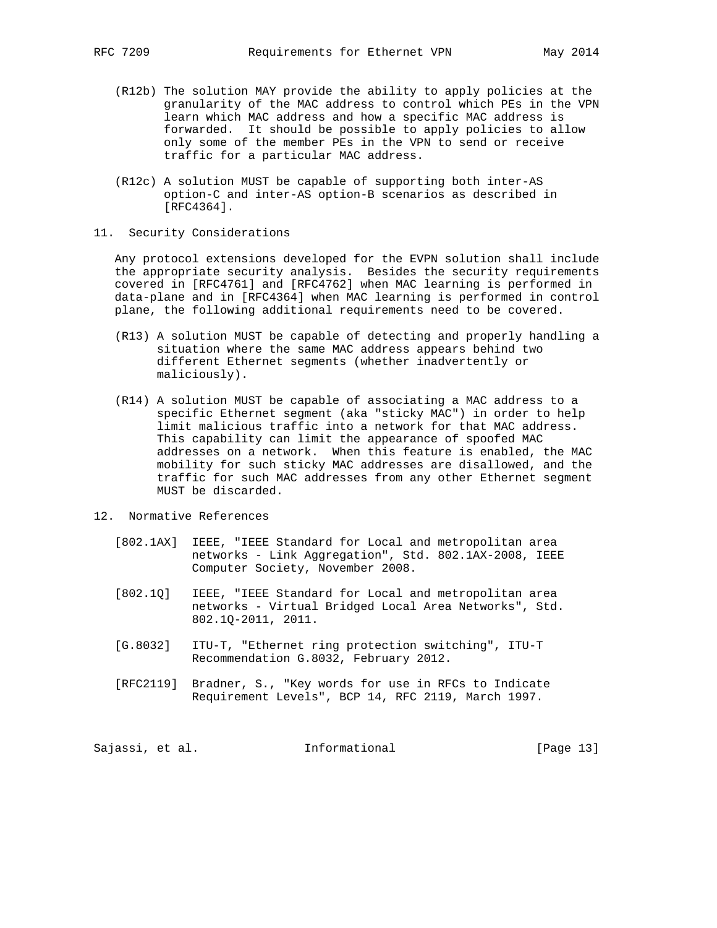- (R12b) The solution MAY provide the ability to apply policies at the granularity of the MAC address to control which PEs in the VPN learn which MAC address and how a specific MAC address is forwarded. It should be possible to apply policies to allow only some of the member PEs in the VPN to send or receive traffic for a particular MAC address.
- (R12c) A solution MUST be capable of supporting both inter-AS option-C and inter-AS option-B scenarios as described in [RFC4364].
- 11. Security Considerations

 Any protocol extensions developed for the EVPN solution shall include the appropriate security analysis. Besides the security requirements covered in [RFC4761] and [RFC4762] when MAC learning is performed in data-plane and in [RFC4364] when MAC learning is performed in control plane, the following additional requirements need to be covered.

- (R13) A solution MUST be capable of detecting and properly handling a situation where the same MAC address appears behind two different Ethernet segments (whether inadvertently or maliciously).
- (R14) A solution MUST be capable of associating a MAC address to a specific Ethernet segment (aka "sticky MAC") in order to help limit malicious traffic into a network for that MAC address. This capability can limit the appearance of spoofed MAC addresses on a network. When this feature is enabled, the MAC mobility for such sticky MAC addresses are disallowed, and the traffic for such MAC addresses from any other Ethernet segment MUST be discarded.
- 12. Normative References
	- [802.1AX] IEEE, "IEEE Standard for Local and metropolitan area networks - Link Aggregation", Std. 802.1AX-2008, IEEE Computer Society, November 2008.
	- [802.1Q] IEEE, "IEEE Standard for Local and metropolitan area networks - Virtual Bridged Local Area Networks", Std. 802.1Q-2011, 2011.
	- [G.8032] ITU-T, "Ethernet ring protection switching", ITU-T Recommendation G.8032, February 2012.
	- [RFC2119] Bradner, S., "Key words for use in RFCs to Indicate Requirement Levels", BCP 14, RFC 2119, March 1997.

Sajassi, et al. 10 mm = Informational [Page 13]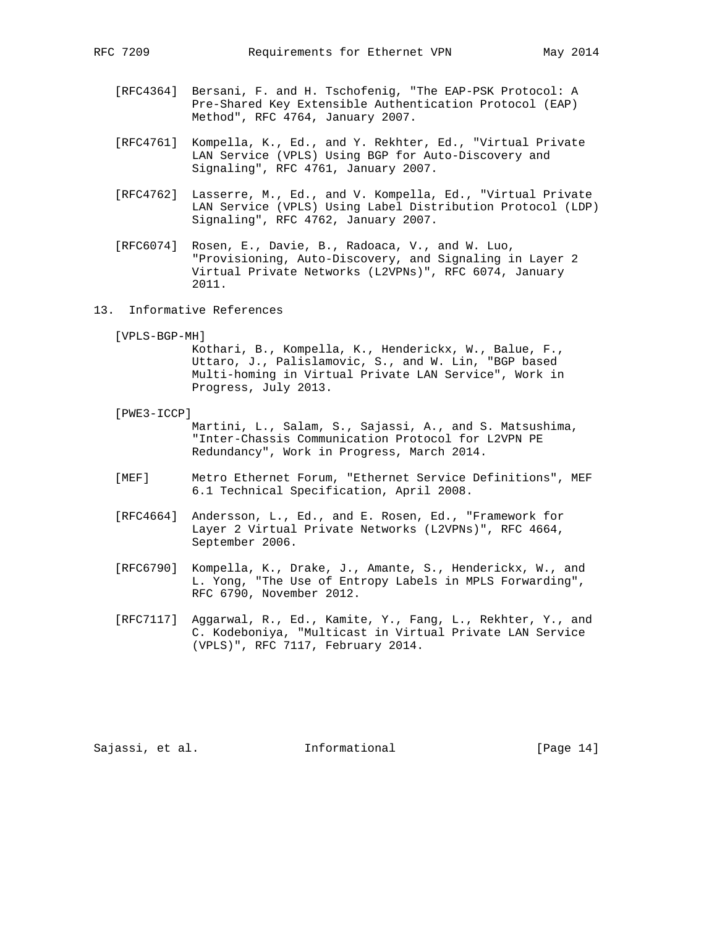- [RFC4364] Bersani, F. and H. Tschofenig, "The EAP-PSK Protocol: A Pre-Shared Key Extensible Authentication Protocol (EAP) Method", RFC 4764, January 2007.
- [RFC4761] Kompella, K., Ed., and Y. Rekhter, Ed., "Virtual Private LAN Service (VPLS) Using BGP for Auto-Discovery and Signaling", RFC 4761, January 2007.
- [RFC4762] Lasserre, M., Ed., and V. Kompella, Ed., "Virtual Private LAN Service (VPLS) Using Label Distribution Protocol (LDP) Signaling", RFC 4762, January 2007.
- [RFC6074] Rosen, E., Davie, B., Radoaca, V., and W. Luo, "Provisioning, Auto-Discovery, and Signaling in Layer 2 Virtual Private Networks (L2VPNs)", RFC 6074, January 2011.
- 13. Informative References

[VPLS-BGP-MH]

 Kothari, B., Kompella, K., Henderickx, W., Balue, F., Uttaro, J., Palislamovic, S., and W. Lin, "BGP based Multi-homing in Virtual Private LAN Service", Work in Progress, July 2013.

[PWE3-ICCP]

 Martini, L., Salam, S., Sajassi, A., and S. Matsushima, "Inter-Chassis Communication Protocol for L2VPN PE Redundancy", Work in Progress, March 2014.

- [MEF] Metro Ethernet Forum, "Ethernet Service Definitions", MEF 6.1 Technical Specification, April 2008.
- [RFC4664] Andersson, L., Ed., and E. Rosen, Ed., "Framework for Layer 2 Virtual Private Networks (L2VPNs)", RFC 4664, September 2006.
- [RFC6790] Kompella, K., Drake, J., Amante, S., Henderickx, W., and L. Yong, "The Use of Entropy Labels in MPLS Forwarding", RFC 6790, November 2012.
	- [RFC7117] Aggarwal, R., Ed., Kamite, Y., Fang, L., Rekhter, Y., and C. Kodeboniya, "Multicast in Virtual Private LAN Service (VPLS)", RFC 7117, February 2014.

Sajassi, et al. 10. Informational [Page 14]